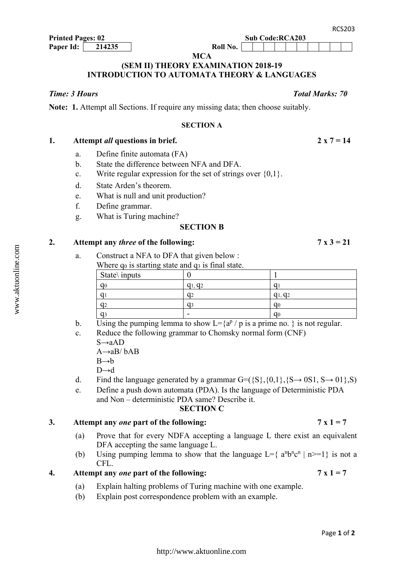<http://www.aktuonline.com>

**MCA** 

## **(SEM II) THEORY EXAMINATION 2018-19 INTRODUCTION TO AUTOMATA THEORY & LANGUAGES**

**Note: 1.** Attempt all Sections. If require any missing data; then choose suitably.

**Printed Pages: 02** Sub Code:RCA203

### **SECTION A**

| Attempt all questions in brief. | $2 x 7 = 14$ |
|---------------------------------|--------------|
|                                 |              |

- a. Define finite automata (FA)
- b. State the difference between NFA and DFA.
- c. Write regular expression for the set of strings over  $\{0,1\}$ .
- d. State Arden's theorem.
- e. What is null and unit production?
- f. Define grammar.
- g. What is Turing machine?

### **SECTION B**

### 2. Attempt any *three* of the following:  $7 \times 3 = 21$

a. Construct a NFA to DFA that given below :

| Where $q_0$ is starting state and $q_3$ is final state. |            |                |  |  |
|---------------------------------------------------------|------------|----------------|--|--|
| State \inputs                                           |            |                |  |  |
| q <sub>0</sub>                                          | $q_1, q_2$ |                |  |  |
| a                                                       | a2         | $q_1, q_2$     |  |  |
| a2                                                      |            | q0             |  |  |
| a٩                                                      |            | q <sub>0</sub> |  |  |

- b. Using the pumping lemma to show  $L = \{a^p / p$  is a prime no. } is not regular.
- c. Reduce the following grammar to Chomsky normal form (CNF)
	- $S \rightarrow aAD$

 $A\rightarrow aB/\ bAB$ 

 $B \rightarrow b$ 

D→d

- d. Find the language generated by a grammar  $G = (\{S\}, \{0,1\}, \{S \rightarrow 0S1, S \rightarrow 01\}, S)$
- e. Define a push down automata (PDA). Is the language of Deterministic PDA and Non – deterministic PDA same? Describe it.

### **SECTION C**

### 3. Attempt any *one* part of the following:  $7 \times 1 = 7$

- (a) Prove that for every NDFA accepting a language L there exist an equivalent DFA accepting the same language L.
- (b) Using pumping lemma to show that the language  $L = \{ a^n b^n c^n | n \ge 1 \}$  is not a CFL.

**4.** Attempt any *one* part of the following:  $7 \times 1 = 7$ 

- (a) Explain halting problems of Turing machine with one example.
- (b) Explain post correspondence problem with an example.

Page **1** of **2**

*Time: 3 Hours Total Marks: 70*